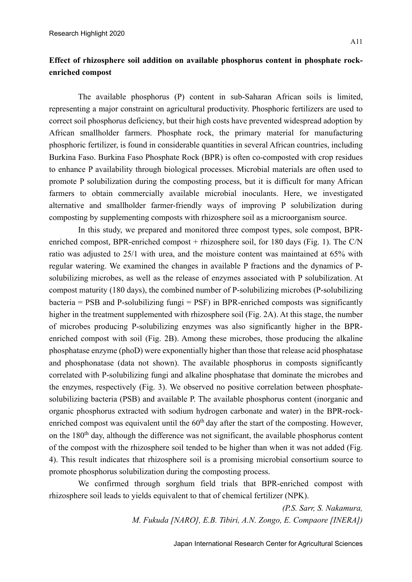## **Effect of rhizosphere soil addition on available phosphorus content in phosphate rockenriched compost**

The available phosphorus (P) content in sub-Saharan African soils is limited, representing a major constraint on agricultural productivity. Phosphoric fertilizers are used to correct soil phosphorus deficiency, but their high costs have prevented widespread adoption by African smallholder farmers. Phosphate rock, the primary material for manufacturing phosphoric fertilizer, is found in considerable quantities in several African countries, including Burkina Faso. Burkina Faso Phosphate Rock (BPR) is often co-composted with crop residues to enhance P availability through biological processes. Microbial materials are often used to promote P solubilization during the composting process, but it is difficult for many African farmers to obtain commercially available microbial inoculants. Here, we investigated alternative and smallholder farmer-friendly ways of improving P solubilization during composting by supplementing composts with rhizosphere soil as a microorganism source.

In this study, we prepared and monitored three compost types, sole compost, BPRenriched compost, BPR-enriched compost + rhizosphere soil, for 180 days (Fig. 1). The C/N ratio was adjusted to 25/1 with urea, and the moisture content was maintained at 65% with regular watering. We examined the changes in available P fractions and the dynamics of Psolubilizing microbes, as well as the release of enzymes associated with P solubilization. At compost maturity (180 days), the combined number of P-solubilizing microbes (P-solubilizing  $bacteria = PSB$  and P-solubilizing fungi = PSF) in BPR-enriched composts was significantly higher in the treatment supplemented with rhizosphere soil (Fig. 2A). At this stage, the number of microbes producing P-solubilizing enzymes was also significantly higher in the BPRenriched compost with soil (Fig. 2B). Among these microbes, those producing the alkaline phosphatase enzyme (phoD) were exponentially higher than those that release acid phosphatase and phosphonatase (data not shown). The available phosphorus in composts significantly correlated with P-solubilizing fungi and alkaline phosphatase that dominate the microbes and the enzymes, respectively (Fig. 3). We observed no positive correlation between phosphatesolubilizing bacteria (PSB) and available P. The available phosphorus content (inorganic and organic phosphorus extracted with sodium hydrogen carbonate and water) in the BPR-rockenriched compost was equivalent until the  $60<sup>th</sup>$  day after the start of the composting. However, on the 180<sup>th</sup> day, although the difference was not significant, the available phosphorus content of the compost with the rhizosphere soil tended to be higher than when it was not added (Fig. 4). This result indicates that rhizosphere soil is a promising microbial consortium source to promote phosphorus solubilization during the composting process.

We confirmed through sorghum field trials that BPR-enriched compost with rhizosphere soil leads to yields equivalent to that of chemical fertilizer (NPK).

> *(P.S. Sarr, S. Nakamura, M. Fukuda [NARO], E.B. Tibiri, A.N. Zongo, E. Compaore [INERA])*